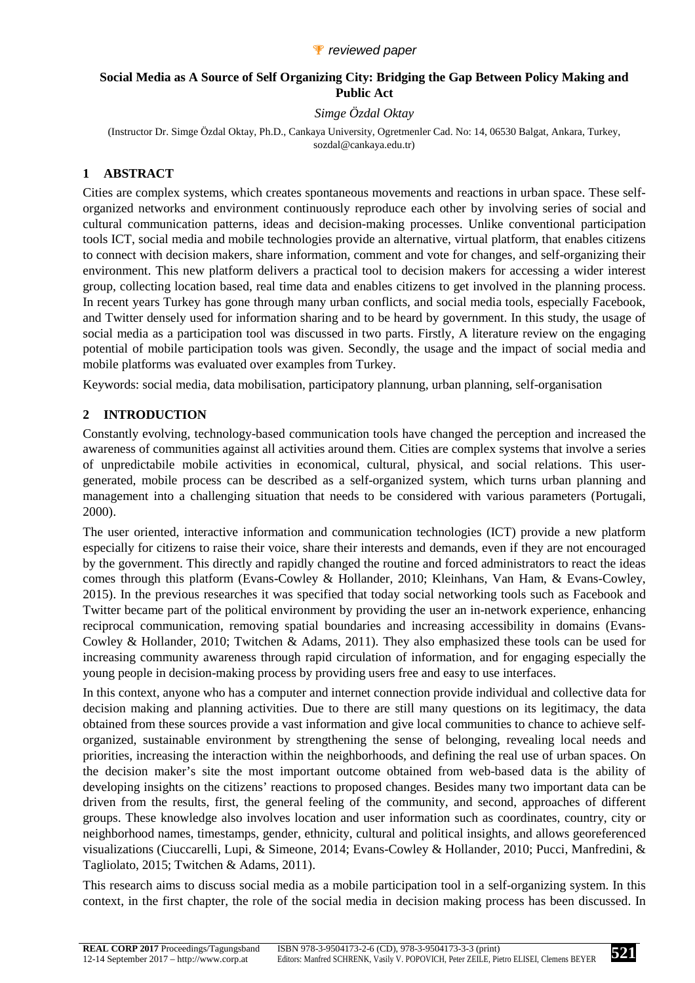## **Social Media as A Source of Self Organizing City: Bridging the Gap Between Policy Making and Public Act**

*Simge Özdal Oktay* 

(Instructor Dr. Simge Özdal Oktay, Ph.D., Cankaya University, Ogretmenler Cad. No: 14, 06530 Balgat, Ankara, Turkey, sozdal@cankaya.edu.tr)

# **1 ABSTRACT**

Cities are complex systems, which creates spontaneous movements and reactions in urban space. These selforganized networks and environment continuously reproduce each other by involving series of social and cultural communication patterns, ideas and decision-making processes. Unlike conventional participation tools ICT, social media and mobile technologies provide an alternative, virtual platform, that enables citizens to connect with decision makers, share information, comment and vote for changes, and self-organizing their environment. This new platform delivers a practical tool to decision makers for accessing a wider interest group, collecting location based, real time data and enables citizens to get involved in the planning process. In recent years Turkey has gone through many urban conflicts, and social media tools, especially Facebook, and Twitter densely used for information sharing and to be heard by government. In this study, the usage of social media as a participation tool was discussed in two parts. Firstly, A literature review on the engaging potential of mobile participation tools was given. Secondly, the usage and the impact of social media and mobile platforms was evaluated over examples from Turkey.

Keywords: social media, data mobilisation, participatory plannung, urban planning, self-organisation

## **2 INTRODUCTION**

Constantly evolving, technology-based communication tools have changed the perception and increased the awareness of communities against all activities around them. Cities are complex systems that involve a series of unpredictabile mobile activities in economical, cultural, physical, and social relations. This usergenerated, mobile process can be described as a self-organized system, which turns urban planning and management into a challenging situation that needs to be considered with various parameters (Portugali, 2000).

The user oriented, interactive information and communication technologies (ICT) provide a new platform especially for citizens to raise their voice, share their interests and demands, even if they are not encouraged by the government. This directly and rapidly changed the routine and forced administrators to react the ideas comes through this platform (Evans-Cowley & Hollander, 2010; Kleinhans, Van Ham, & Evans-Cowley, 2015). In the previous researches it was specified that today social networking tools such as Facebook and Twitter became part of the political environment by providing the user an in-network experience, enhancing reciprocal communication, removing spatial boundaries and increasing accessibility in domains (Evans-Cowley & Hollander, 2010; Twitchen & Adams, 2011). They also emphasized these tools can be used for increasing community awareness through rapid circulation of information, and for engaging especially the young people in decision-making process by providing users free and easy to use interfaces.

In this context, anyone who has a computer and internet connection provide individual and collective data for decision making and planning activities. Due to there are still many questions on its legitimacy, the data obtained from these sources provide a vast information and give local communities to chance to achieve selforganized, sustainable environment by strengthening the sense of belonging, revealing local needs and priorities, increasing the interaction within the neighborhoods, and defining the real use of urban spaces. On the decision maker's site the most important outcome obtained from web-based data is the ability of developing insights on the citizens' reactions to proposed changes. Besides many two important data can be driven from the results, first, the general feeling of the community, and second, approaches of different groups. These knowledge also involves location and user information such as coordinates, country, city or neighborhood names, timestamps, gender, ethnicity, cultural and political insights, and allows georeferenced visualizations (Ciuccarelli, Lupi, & Simeone, 2014; Evans-Cowley & Hollander, 2010; Pucci, Manfredini, & Tagliolato, 2015; Twitchen & Adams, 2011).

This research aims to discuss social media as a mobile participation tool in a self-organizing system. In this context, in the first chapter, the role of the social media in decision making process has been discussed. In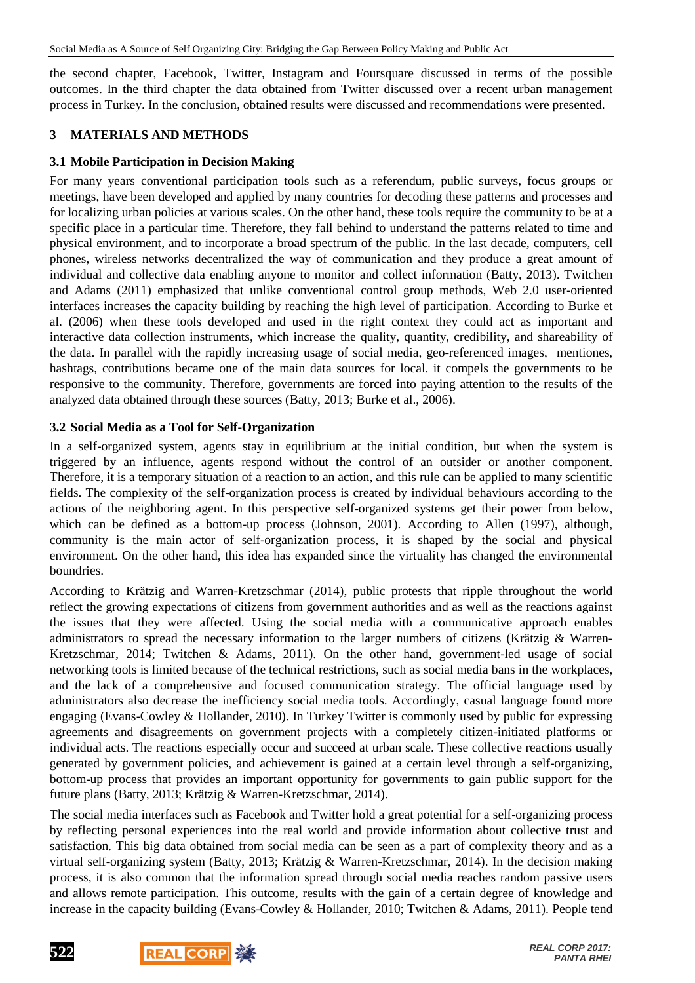the second chapter, Facebook, Twitter, Instagram and Foursquare discussed in terms of the possible outcomes. In the third chapter the data obtained from Twitter discussed over a recent urban management process in Turkey. In the conclusion, obtained results were discussed and recommendations were presented.

#### **3 MATERIALS AND METHODS**

## **3.1 Mobile Participation in Decision Making**

For many years conventional participation tools such as a referendum, public surveys, focus groups or meetings, have been developed and applied by many countries for decoding these patterns and processes and for localizing urban policies at various scales. On the other hand, these tools require the community to be at a specific place in a particular time. Therefore, they fall behind to understand the patterns related to time and physical environment, and to incorporate a broad spectrum of the public. In the last decade, computers, cell phones, wireless networks decentralized the way of communication and they produce a great amount of individual and collective data enabling anyone to monitor and collect information (Batty, 2013). Twitchen and Adams (2011) emphasized that unlike conventional control group methods, Web 2.0 user-oriented interfaces increases the capacity building by reaching the high level of participation. According to Burke et al. (2006) when these tools developed and used in the right context they could act as important and interactive data collection instruments, which increase the quality, quantity, credibility, and shareability of the data. In parallel with the rapidly increasing usage of social media, geo-referenced images, mentiones, hashtags, contributions became one of the main data sources for local. it compels the governments to be responsive to the community. Therefore, governments are forced into paying attention to the results of the analyzed data obtained through these sources (Batty, 2013; Burke et al., 2006).

#### **3.2 Social Media as a Tool for Self-Organization**

In a self-organized system, agents stay in equilibrium at the initial condition, but when the system is triggered by an influence, agents respond without the control of an outsider or another component. Therefore, it is a temporary situation of a reaction to an action, and this rule can be applied to many scientific fields. The complexity of the self-organization process is created by individual behaviours according to the actions of the neighboring agent. In this perspective self-organized systems get their power from below, which can be defined as a bottom-up process (Johnson, 2001). According to Allen (1997), although, community is the main actor of self-organization process, it is shaped by the social and physical environment. On the other hand, this idea has expanded since the virtuality has changed the environmental boundries.

According to Krätzig and Warren-Kretzschmar (2014), public protests that ripple throughout the world reflect the growing expectations of citizens from government authorities and as well as the reactions against the issues that they were affected. Using the social media with a communicative approach enables administrators to spread the necessary information to the larger numbers of citizens (Krätzig & Warren-Kretzschmar, 2014; Twitchen & Adams, 2011). On the other hand, government-led usage of social networking tools is limited because of the technical restrictions, such as social media bans in the workplaces, and the lack of a comprehensive and focused communication strategy. The official language used by administrators also decrease the inefficiency social media tools. Accordingly, casual language found more engaging (Evans-Cowley & Hollander, 2010). In Turkey Twitter is commonly used by public for expressing agreements and disagreements on government projects with a completely citizen-initiated platforms or individual acts. The reactions especially occur and succeed at urban scale. These collective reactions usually generated by government policies, and achievement is gained at a certain level through a self-organizing, bottom-up process that provides an important opportunity for governments to gain public support for the future plans (Batty, 2013; Krätzig & Warren-Kretzschmar, 2014).

The social media interfaces such as Facebook and Twitter hold a great potential for a self-organizing process by reflecting personal experiences into the real world and provide information about collective trust and satisfaction. This big data obtained from social media can be seen as a part of complexity theory and as a virtual self-organizing system (Batty, 2013; Krätzig & Warren-Kretzschmar, 2014). In the decision making process, it is also common that the information spread through social media reaches random passive users and allows remote participation. This outcome, results with the gain of a certain degree of knowledge and increase in the capacity building (Evans-Cowley & Hollander, 2010; Twitchen & Adams, 2011). People tend

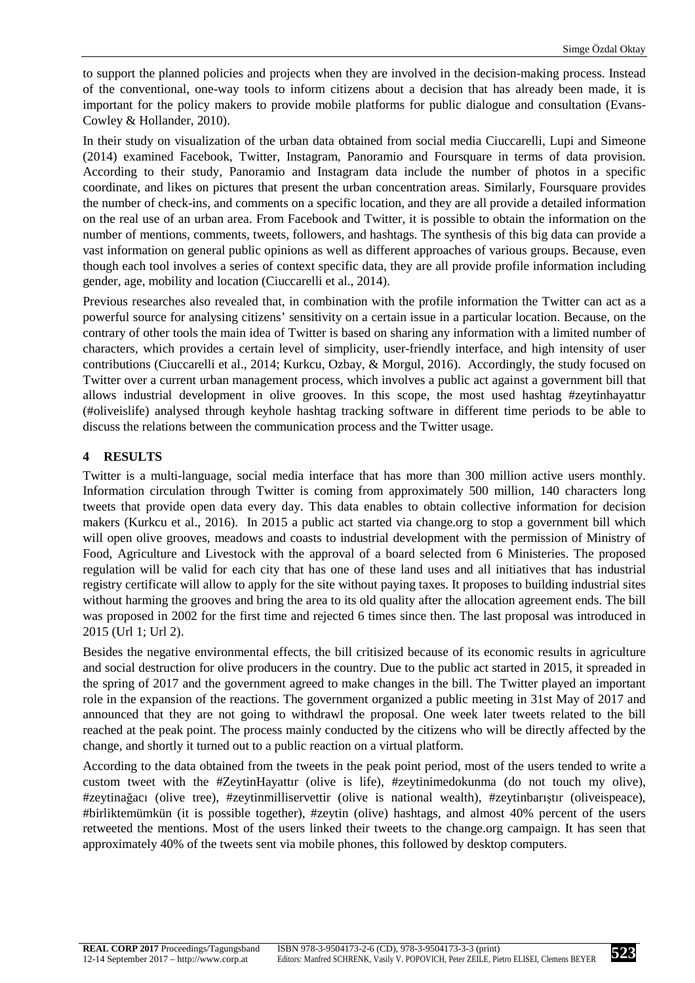to support the planned policies and projects when they are involved in the decision-making process. Instead of the conventional, one-way tools to inform citizens about a decision that has already been made, it is important for the policy makers to provide mobile platforms for public dialogue and consultation (Evans-Cowley & Hollander, 2010).

In their study on visualization of the urban data obtained from social media Ciuccarelli, Lupi and Simeone (2014) examined Facebook, Twitter, Instagram, Panoramio and Foursquare in terms of data provision. According to their study, Panoramio and Instagram data include the number of photos in a specific coordinate, and likes on pictures that present the urban concentration areas. Similarly, Foursquare provides the number of check-ins, and comments on a specific location, and they are all provide a detailed information on the real use of an urban area. From Facebook and Twitter, it is possible to obtain the information on the number of mentions, comments, tweets, followers, and hashtags. The synthesis of this big data can provide a vast information on general public opinions as well as different approaches of various groups. Because, even though each tool involves a series of context specific data, they are all provide profile information including gender, age, mobility and location (Ciuccarelli et al., 2014).

Previous researches also revealed that, in combination with the profile information the Twitter can act as a powerful source for analysing citizens' sensitivity on a certain issue in a particular location. Because, on the contrary of other tools the main idea of Twitter is based on sharing any information with a limited number of characters, which provides a certain level of simplicity, user-friendly interface, and high intensity of user contributions (Ciuccarelli et al., 2014; Kurkcu, Ozbay, & Morgul, 2016). Accordingly, the study focused on Twitter over a current urban management process, which involves a public act against a government bill that allows industrial development in olive grooves. In this scope, the most used hashtag #zeytinhayattır (#oliveislife) analysed through keyhole hashtag tracking software in different time periods to be able to discuss the relations between the communication process and the Twitter usage.

#### **4 RESULTS**

Twitter is a multi-language, social media interface that has more than 300 million active users monthly. Information circulation through Twitter is coming from approximately 500 million, 140 characters long tweets that provide open data every day. This data enables to obtain collective information for decision makers (Kurkcu et al., 2016). In 2015 a public act started via change.org to stop a government bill which will open olive grooves, meadows and coasts to industrial development with the permission of Ministry of Food, Agriculture and Livestock with the approval of a board selected from 6 Ministeries. The proposed regulation will be valid for each city that has one of these land uses and all initiatives that has industrial registry certificate will allow to apply for the site without paying taxes. It proposes to building industrial sites without harming the grooves and bring the area to its old quality after the allocation agreement ends. The bill was proposed in 2002 for the first time and rejected 6 times since then. The last proposal was introduced in 2015 (Url 1; Url 2).

Besides the negative environmental effects, the bill critisized because of its economic results in agriculture and social destruction for olive producers in the country. Due to the public act started in 2015, it spreaded in the spring of 2017 and the government agreed to make changes in the bill. The Twitter played an important role in the expansion of the reactions. The government organized a public meeting in 31st May of 2017 and announced that they are not going to withdrawl the proposal. One week later tweets related to the bill reached at the peak point. The process mainly conducted by the citizens who will be directly affected by the change, and shortly it turned out to a public reaction on a virtual platform.

According to the data obtained from the tweets in the peak point period, most of the users tended to write a custom tweet with the #ZeytinHayattır (olive is life), #zeytinimedokunma (do not touch my olive), #zeytinağacı (olive tree), #zeytinmilliservettir (olive is national wealth), #zeytinbarıştır (oliveispeace), #birliktemümkün (it is possible together), #zeytin (olive) hashtags, and almost 40% percent of the users retweeted the mentions. Most of the users linked their tweets to the change.org campaign. It has seen that approximately 40% of the tweets sent via mobile phones, this followed by desktop computers.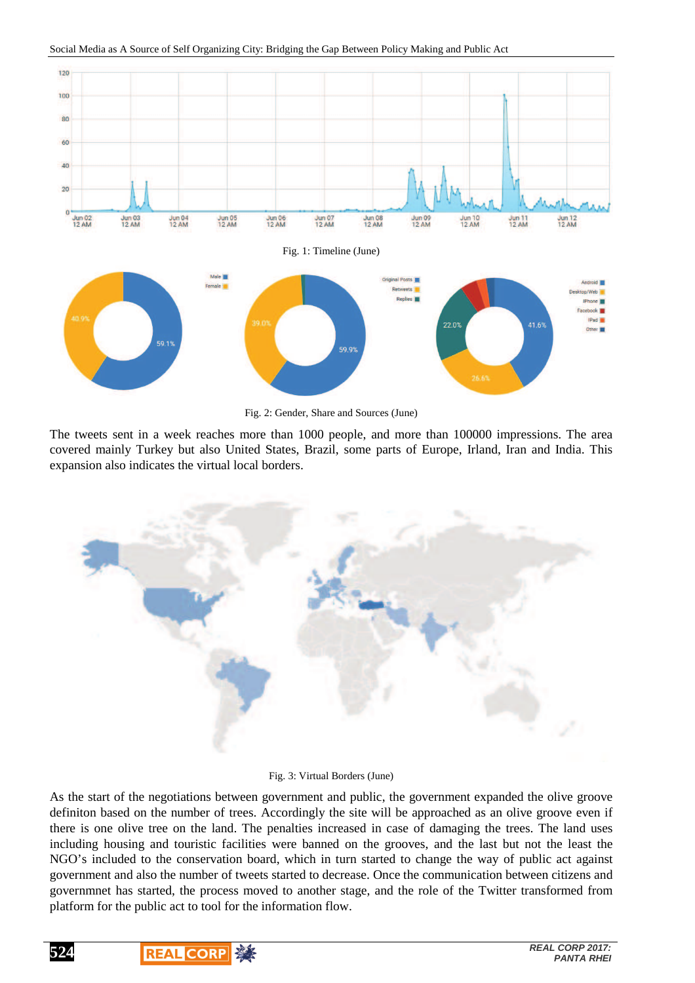

Social Media as A Source of Self Organizing City: Bridging the Gap Between Policy Making and Public Act

Fig. 2: Gender, Share and Sources (June)

The tweets sent in a week reaches more than 1000 people, and more than 100000 impressions. The area covered mainly Turkey but also United States, Brazil, some parts of Europe, Irland, Iran and India. This expansion also indicates the virtual local borders.



#### Fig. 3: Virtual Borders (June)

As the start of the negotiations between government and public, the government expanded the olive groove definiton based on the number of trees. Accordingly the site will be approached as an olive groove even if there is one olive tree on the land. The penalties increased in case of damaging the trees. The land uses including housing and touristic facilities were banned on the grooves, and the last but not the least the NGO's included to the conservation board, which in turn started to change the way of public act against government and also the number of tweets started to decrease. Once the communication between citizens and governmnet has started, the process moved to another stage, and the role of the Twitter transformed from platform for the public act to tool for the information flow.



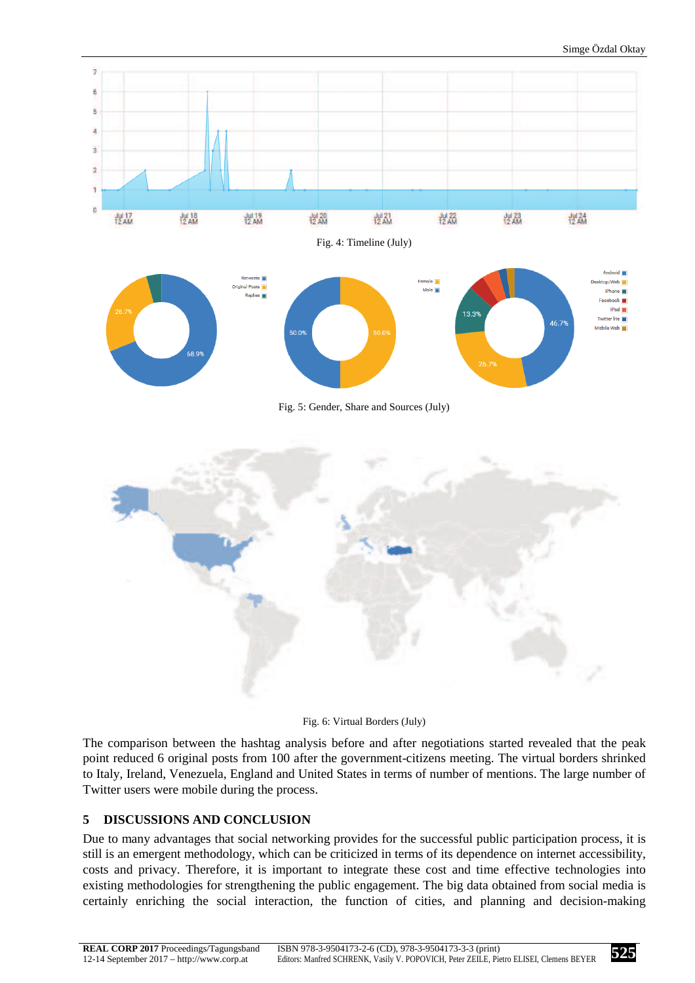

Fig. 6: Virtual Borders (July)

The comparison between the hashtag analysis before and after negotiations started revealed that the peak point reduced 6 original posts from 100 after the government-citizens meeting. The virtual borders shrinked to Italy, Ireland, Venezuela, England and United States in terms of number of mentions. The large number of Twitter users were mobile during the process.

## **5 DISCUSSIONS AND CONCLUSION**

Due to many advantages that social networking provides for the successful public participation process, it is still is an emergent methodology, which can be criticized in terms of its dependence on internet accessibility, costs and privacy. Therefore, it is important to integrate these cost and time effective technologies into existing methodologies for strengthening the public engagement. The big data obtained from social media is certainly enriching the social interaction, the function of cities, and planning and decision-making